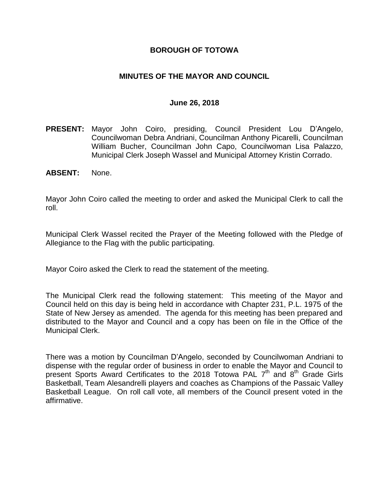## **BOROUGH OF TOTOWA**

## **MINUTES OF THE MAYOR AND COUNCIL**

#### **June 26, 2018**

- **PRESENT:** Mayor John Coiro, presiding, Council President Lou D'Angelo, Councilwoman Debra Andriani, Councilman Anthony Picarelli, Councilman William Bucher, Councilman John Capo, Councilwoman Lisa Palazzo, Municipal Clerk Joseph Wassel and Municipal Attorney Kristin Corrado.
- **ABSENT:** None.

Mayor John Coiro called the meeting to order and asked the Municipal Clerk to call the roll.

Municipal Clerk Wassel recited the Prayer of the Meeting followed with the Pledge of Allegiance to the Flag with the public participating.

Mayor Coiro asked the Clerk to read the statement of the meeting.

The Municipal Clerk read the following statement: This meeting of the Mayor and Council held on this day is being held in accordance with Chapter 231, P.L. 1975 of the State of New Jersey as amended. The agenda for this meeting has been prepared and distributed to the Mayor and Council and a copy has been on file in the Office of the Municipal Clerk.

There was a motion by Councilman D'Angelo, seconded by Councilwoman Andriani to dispense with the regular order of business in order to enable the Mayor and Council to present Sports Award Certificates to the 2018 Totowa PAL 7<sup>th</sup> and 8<sup>th</sup> Grade Girls Basketball, Team Alesandrelli players and coaches as Champions of the Passaic Valley Basketball League. On roll call vote, all members of the Council present voted in the affirmative.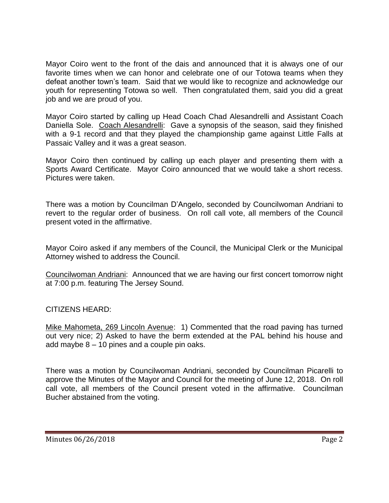Mayor Coiro went to the front of the dais and announced that it is always one of our favorite times when we can honor and celebrate one of our Totowa teams when they defeat another town's team. Said that we would like to recognize and acknowledge our youth for representing Totowa so well. Then congratulated them, said you did a great job and we are proud of you.

Mayor Coiro started by calling up Head Coach Chad Alesandrelli and Assistant Coach Daniella Sole. Coach Alesandrelli: Gave a synopsis of the season, said they finished with a 9-1 record and that they played the championship game against Little Falls at Passaic Valley and it was a great season.

Mayor Coiro then continued by calling up each player and presenting them with a Sports Award Certificate. Mayor Coiro announced that we would take a short recess. Pictures were taken.

There was a motion by Councilman D'Angelo, seconded by Councilwoman Andriani to revert to the regular order of business. On roll call vote, all members of the Council present voted in the affirmative.

Mayor Coiro asked if any members of the Council, the Municipal Clerk or the Municipal Attorney wished to address the Council.

Councilwoman Andriani: Announced that we are having our first concert tomorrow night at 7:00 p.m. featuring The Jersey Sound.

CITIZENS HEARD:

Mike Mahometa, 269 Lincoln Avenue: 1) Commented that the road paving has turned out very nice; 2) Asked to have the berm extended at the PAL behind his house and add maybe 8 – 10 pines and a couple pin oaks.

There was a motion by Councilwoman Andriani, seconded by Councilman Picarelli to approve the Minutes of the Mayor and Council for the meeting of June 12, 2018. On roll call vote, all members of the Council present voted in the affirmative. Councilman Bucher abstained from the voting.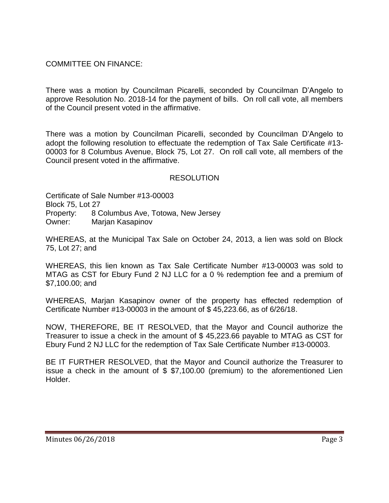COMMITTEE ON FINANCE:

There was a motion by Councilman Picarelli, seconded by Councilman D'Angelo to approve Resolution No. 2018-14 for the payment of bills. On roll call vote, all members of the Council present voted in the affirmative.

There was a motion by Councilman Picarelli, seconded by Councilman D'Angelo to adopt the following resolution to effectuate the redemption of Tax Sale Certificate #13- 00003 for 8 Columbus Avenue, Block 75, Lot 27. On roll call vote, all members of the Council present voted in the affirmative.

# **RESOLUTION**

Certificate of Sale Number #13-00003 Block 75, Lot 27 Property: 8 Columbus Ave, Totowa, New Jersey Owner: Marjan Kasapinov

WHEREAS, at the Municipal Tax Sale on October 24, 2013, a lien was sold on Block 75, Lot 27; and

WHEREAS, this lien known as Tax Sale Certificate Number #13-00003 was sold to MTAG as CST for Ebury Fund 2 NJ LLC for a 0 % redemption fee and a premium of \$7,100.00; and

WHEREAS, Marjan Kasapinov owner of the property has effected redemption of Certificate Number #13-00003 in the amount of \$ 45,223.66, as of 6/26/18.

NOW, THEREFORE, BE IT RESOLVED, that the Mayor and Council authorize the Treasurer to issue a check in the amount of \$ 45,223.66 payable to MTAG as CST for Ebury Fund 2 NJ LLC for the redemption of Tax Sale Certificate Number #13-00003.

BE IT FURTHER RESOLVED, that the Mayor and Council authorize the Treasurer to issue a check in the amount of \$ \$7,100.00 (premium) to the aforementioned Lien Holder.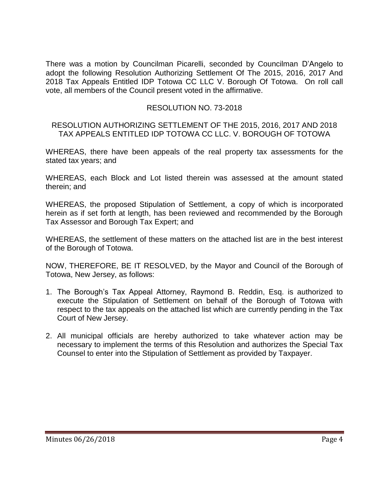There was a motion by Councilman Picarelli, seconded by Councilman D'Angelo to adopt the following Resolution Authorizing Settlement Of The 2015, 2016, 2017 And 2018 Tax Appeals Entitled IDP Totowa CC LLC V. Borough Of Totowa. On roll call vote, all members of the Council present voted in the affirmative.

# RESOLUTION NO. 73-2018

#### RESOLUTION AUTHORIZING SETTLEMENT OF THE 2015, 2016, 2017 AND 2018 TAX APPEALS ENTITLED IDP TOTOWA CC LLC. V. BOROUGH OF TOTOWA

WHEREAS, there have been appeals of the real property tax assessments for the stated tax years; and

WHEREAS, each Block and Lot listed therein was assessed at the amount stated therein; and

WHEREAS, the proposed Stipulation of Settlement, a copy of which is incorporated herein as if set forth at length, has been reviewed and recommended by the Borough Tax Assessor and Borough Tax Expert; and

WHEREAS, the settlement of these matters on the attached list are in the best interest of the Borough of Totowa.

NOW, THEREFORE, BE IT RESOLVED, by the Mayor and Council of the Borough of Totowa, New Jersey, as follows:

- 1. The Borough's Tax Appeal Attorney, Raymond B. Reddin, Esq. is authorized to execute the Stipulation of Settlement on behalf of the Borough of Totowa with respect to the tax appeals on the attached list which are currently pending in the Tax Court of New Jersey.
- 2. All municipal officials are hereby authorized to take whatever action may be necessary to implement the terms of this Resolution and authorizes the Special Tax Counsel to enter into the Stipulation of Settlement as provided by Taxpayer.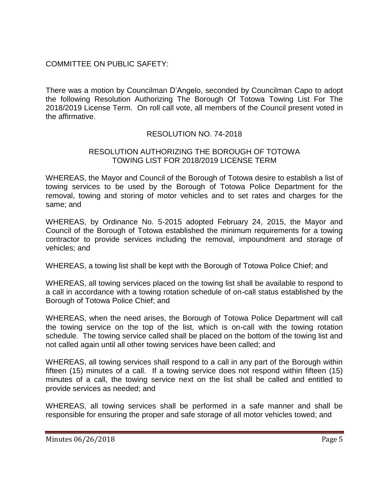# COMMITTEE ON PUBLIC SAFETY:

There was a motion by Councilman D'Angelo, seconded by Councilman Capo to adopt the following Resolution Authorizing The Borough Of Totowa Towing List For The 2018/2019 License Term. On roll call vote, all members of the Council present voted in the affirmative.

# RESOLUTION NO. 74-2018

## RESOLUTION AUTHORIZING THE BOROUGH OF TOTOWA TOWING LIST FOR 2018/2019 LICENSE TERM

WHEREAS, the Mayor and Council of the Borough of Totowa desire to establish a list of towing services to be used by the Borough of Totowa Police Department for the removal, towing and storing of motor vehicles and to set rates and charges for the same; and

WHEREAS, by Ordinance No. 5-2015 adopted February 24, 2015, the Mayor and Council of the Borough of Totowa established the minimum requirements for a towing contractor to provide services including the removal, impoundment and storage of vehicles; and

WHEREAS, a towing list shall be kept with the Borough of Totowa Police Chief; and

WHEREAS, all towing services placed on the towing list shall be available to respond to a call in accordance with a towing rotation schedule of on-call status established by the Borough of Totowa Police Chief; and

WHEREAS, when the need arises, the Borough of Totowa Police Department will call the towing service on the top of the list, which is on-call with the towing rotation schedule. The towing service called shall be placed on the bottom of the towing list and not called again until all other towing services have been called; and

WHEREAS, all towing services shall respond to a call in any part of the Borough within fifteen (15) minutes of a call. If a towing service does not respond within fifteen (15) minutes of a call, the towing service next on the list shall be called and entitled to provide services as needed; and

WHEREAS, all towing services shall be performed in a safe manner and shall be responsible for ensuring the proper and safe storage of all motor vehicles towed; and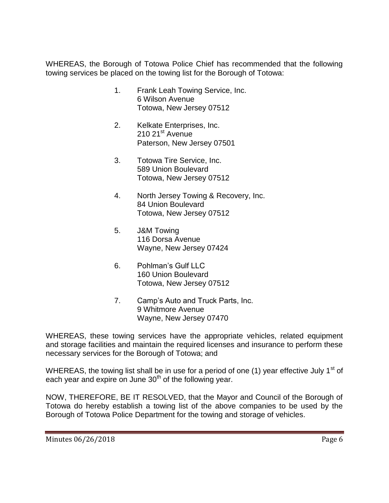WHEREAS, the Borough of Totowa Police Chief has recommended that the following towing services be placed on the towing list for the Borough of Totowa:

- 1. Frank Leah Towing Service, Inc. 6 Wilson Avenue Totowa, New Jersey 07512
- 2. Kelkate Enterprises, Inc. 210 21<sup>st</sup> Avenue Paterson, New Jersey 07501
- 3. Totowa Tire Service, Inc. 589 Union Boulevard Totowa, New Jersey 07512
- 4. North Jersey Towing & Recovery, Inc. 84 Union Boulevard Totowa, New Jersey 07512
- 5. J&M Towing 116 Dorsa Avenue Wayne, New Jersey 07424
- 6. Pohlman's Gulf LLC 160 Union Boulevard Totowa, New Jersey 07512
- 7. Camp's Auto and Truck Parts, Inc. 9 Whitmore Avenue Wayne, New Jersey 07470

WHEREAS, these towing services have the appropriate vehicles, related equipment and storage facilities and maintain the required licenses and insurance to perform these necessary services for the Borough of Totowa; and

WHEREAS, the towing list shall be in use for a period of one (1) year effective July 1<sup>st</sup> of each year and expire on June 30<sup>th</sup> of the following year.

NOW, THEREFORE, BE IT RESOLVED, that the Mayor and Council of the Borough of Totowa do hereby establish a towing list of the above companies to be used by the Borough of Totowa Police Department for the towing and storage of vehicles.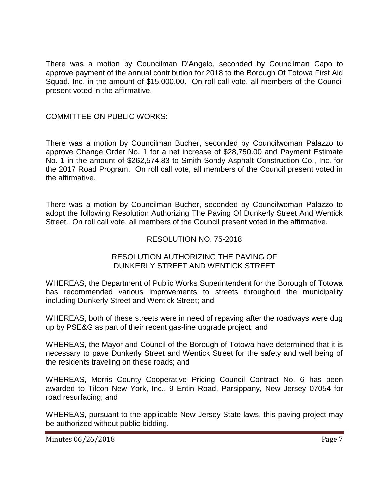There was a motion by Councilman D'Angelo, seconded by Councilman Capo to approve payment of the annual contribution for 2018 to the Borough Of Totowa First Aid Squad, Inc. in the amount of \$15,000.00. On roll call vote, all members of the Council present voted in the affirmative.

## COMMITTEE ON PUBLIC WORKS:

There was a motion by Councilman Bucher, seconded by Councilwoman Palazzo to approve Change Order No. 1 for a net increase of \$28,750.00 and Payment Estimate No. 1 in the amount of \$262,574.83 to Smith-Sondy Asphalt Construction Co., Inc. for the 2017 Road Program. On roll call vote, all members of the Council present voted in the affirmative.

There was a motion by Councilman Bucher, seconded by Councilwoman Palazzo to adopt the following Resolution Authorizing The Paving Of Dunkerly Street And Wentick Street. On roll call vote, all members of the Council present voted in the affirmative.

## RESOLUTION NO. 75-2018

## RESOLUTION AUTHORIZING THE PAVING OF DUNKERLY STREET AND WENTICK STREET

WHEREAS, the Department of Public Works Superintendent for the Borough of Totowa has recommended various improvements to streets throughout the municipality including Dunkerly Street and Wentick Street; and

WHEREAS, both of these streets were in need of repaving after the roadways were dug up by PSE&G as part of their recent gas-line upgrade project; and

WHEREAS, the Mayor and Council of the Borough of Totowa have determined that it is necessary to pave Dunkerly Street and Wentick Street for the safety and well being of the residents traveling on these roads; and

WHEREAS, Morris County Cooperative Pricing Council Contract No. 6 has been awarded to Tilcon New York, Inc., 9 Entin Road, Parsippany, New Jersey 07054 for road resurfacing; and

WHEREAS, pursuant to the applicable New Jersey State laws, this paving project may be authorized without public bidding.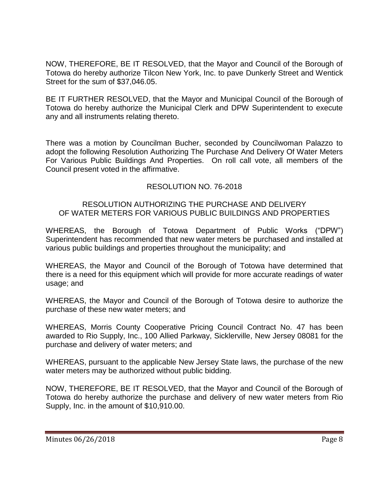NOW, THEREFORE, BE IT RESOLVED, that the Mayor and Council of the Borough of Totowa do hereby authorize Tilcon New York, Inc. to pave Dunkerly Street and Wentick Street for the sum of \$37,046.05.

BE IT FURTHER RESOLVED, that the Mayor and Municipal Council of the Borough of Totowa do hereby authorize the Municipal Clerk and DPW Superintendent to execute any and all instruments relating thereto.

There was a motion by Councilman Bucher, seconded by Councilwoman Palazzo to adopt the following Resolution Authorizing The Purchase And Delivery Of Water Meters For Various Public Buildings And Properties. On roll call vote, all members of the Council present voted in the affirmative.

# RESOLUTION NO. 76-2018

## RESOLUTION AUTHORIZING THE PURCHASE AND DELIVERY OF WATER METERS FOR VARIOUS PUBLIC BUILDINGS AND PROPERTIES

WHEREAS, the Borough of Totowa Department of Public Works ("DPW") Superintendent has recommended that new water meters be purchased and installed at various public buildings and properties throughout the municipality; and

WHEREAS, the Mayor and Council of the Borough of Totowa have determined that there is a need for this equipment which will provide for more accurate readings of water usage; and

WHEREAS, the Mayor and Council of the Borough of Totowa desire to authorize the purchase of these new water meters; and

WHEREAS, Morris County Cooperative Pricing Council Contract No. 47 has been awarded to Rio Supply, Inc., 100 Allied Parkway, Sicklerville, New Jersey 08081 for the purchase and delivery of water meters; and

WHEREAS, pursuant to the applicable New Jersey State laws, the purchase of the new water meters may be authorized without public bidding.

NOW, THEREFORE, BE IT RESOLVED, that the Mayor and Council of the Borough of Totowa do hereby authorize the purchase and delivery of new water meters from Rio Supply, Inc. in the amount of \$10,910.00.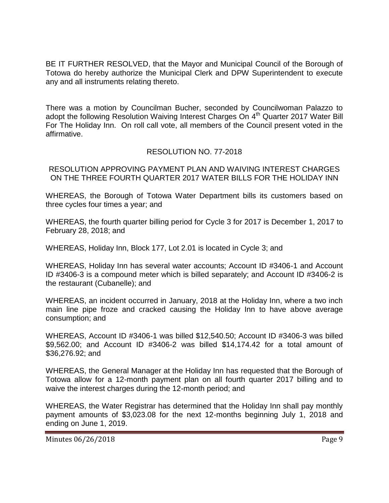BE IT FURTHER RESOLVED, that the Mayor and Municipal Council of the Borough of Totowa do hereby authorize the Municipal Clerk and DPW Superintendent to execute any and all instruments relating thereto.

There was a motion by Councilman Bucher, seconded by Councilwoman Palazzo to adopt the following Resolution Waiving Interest Charges On  $4<sup>th</sup>$  Quarter 2017 Water Bill For The Holiday Inn. On roll call vote, all members of the Council present voted in the affirmative.

# RESOLUTION NO. 77-2018

RESOLUTION APPROVING PAYMENT PLAN AND WAIVING INTEREST CHARGES ON THE THREE FOURTH QUARTER 2017 WATER BILLS FOR THE HOLIDAY INN

WHEREAS, the Borough of Totowa Water Department bills its customers based on three cycles four times a year; and

WHEREAS, the fourth quarter billing period for Cycle 3 for 2017 is December 1, 2017 to February 28, 2018; and

WHEREAS, Holiday Inn, Block 177, Lot 2.01 is located in Cycle 3; and

WHEREAS, Holiday Inn has several water accounts; Account ID #3406-1 and Account ID #3406-3 is a compound meter which is billed separately; and Account ID #3406-2 is the restaurant (Cubanelle); and

WHEREAS, an incident occurred in January, 2018 at the Holiday Inn, where a two inch main line pipe froze and cracked causing the Holiday Inn to have above average consumption; and

WHEREAS, Account ID #3406-1 was billed \$12,540.50; Account ID #3406-3 was billed \$9,562.00; and Account ID #3406-2 was billed \$14,174.42 for a total amount of \$36,276.92; and

WHEREAS, the General Manager at the Holiday Inn has requested that the Borough of Totowa allow for a 12-month payment plan on all fourth quarter 2017 billing and to waive the interest charges during the 12-month period; and

WHEREAS, the Water Registrar has determined that the Holiday Inn shall pay monthly payment amounts of \$3,023.08 for the next 12-months beginning July 1, 2018 and ending on June 1, 2019.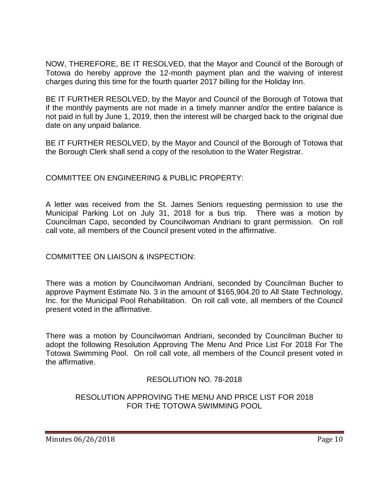NOW, THEREFORE, BE IT RESOLVED, that the Mayor and Council of the Borough of Totowa do hereby approve the 12-month payment plan and the waiving of interest charges during this time for the fourth quarter 2017 billing for the Holiday Inn.

BE IT FURTHER RESOLVED, by the Mayor and Council of the Borough of Totowa that if the monthly payments are not made in a timely manner and/or the entire balance is not paid in full by June 1, 2019, then the interest will be charged back to the original due date on any unpaid balance.

BE IT FURTHER RESOLVED, by the Mayor and Council of the Borough of Totowa that the Borough Clerk shall send a copy of the resolution to the Water Registrar.

# COMMITTEE ON ENGINEERING & PUBLIC PROPERTY:

A letter was received from the St. James Seniors requesting permission to use the Municipal Parking Lot on July 31, 2018 for a bus trip. There was a motion by Councilman Capo, seconded by Councilwoman Andriani to grant permission. On roll call vote, all members of the Council present voted in the affirmative.

# COMMITTEE ON LIAISON & INSPECTION:

There was a motion by Councilwoman Andriani, seconded by Councilman Bucher to approve Payment Estimate No. 3 in the amount of \$165,904.20 to All State Technology, Inc. for the Municipal Pool Rehabilitation. On roll call vote, all members of the Council present voted in the affirmative.

There was a motion by Councilwoman Andriani, seconded by Councilman Bucher to adopt the following Resolution Approving The Menu And Price List For 2018 For The Totowa Swimming Pool. On roll call vote, all members of the Council present voted in the affirmative.

# RESOLUTION NO. 78-2018

# RESOLUTION APPROVING THE MENU AND PRICE LIST FOR 2018 FOR THE TOTOWA SWIMMING POOL

Minutes 06/26/2018 **Page 10**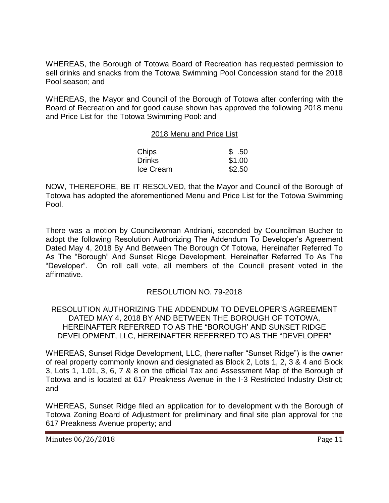WHEREAS, the Borough of Totowa Board of Recreation has requested permission to sell drinks and snacks from the Totowa Swimming Pool Concession stand for the 2018 Pool season; and

WHEREAS, the Mayor and Council of the Borough of Totowa after conferring with the Board of Recreation and for good cause shown has approved the following 2018 menu and Price List for the Totowa Swimming Pool: and

#### 2018 Menu and Price List

| Chips         | \$.50  |
|---------------|--------|
| <b>Drinks</b> | \$1.00 |
| Ice Cream     | \$2.50 |

NOW, THEREFORE, BE IT RESOLVED, that the Mayor and Council of the Borough of Totowa has adopted the aforementioned Menu and Price List for the Totowa Swimming Pool.

There was a motion by Councilwoman Andriani, seconded by Councilman Bucher to adopt the following Resolution Authorizing The Addendum To Developer's Agreement Dated May 4, 2018 By And Between The Borough Of Totowa, Hereinafter Referred To As The "Borough" And Sunset Ridge Development, Hereinafter Referred To As The "Developer". On roll call vote, all members of the Council present voted in the affirmative.

#### RESOLUTION NO. 79-2018

RESOLUTION AUTHORIZING THE ADDENDUM TO DEVELOPER'S AGREEMENT DATED MAY 4, 2018 BY AND BETWEEN THE BOROUGH OF TOTOWA, HEREINAFTER REFERRED TO AS THE "BOROUGH' AND SUNSET RIDGE DEVELOPMENT, LLC, HEREINAFTER REFERRED TO AS THE "DEVELOPER"

WHEREAS, Sunset Ridge Development, LLC, (hereinafter "Sunset Ridge") is the owner of real property commonly known and designated as Block 2, Lots 1, 2, 3 & 4 and Block 3, Lots 1, 1.01, 3, 6, 7 & 8 on the official Tax and Assessment Map of the Borough of Totowa and is located at 617 Preakness Avenue in the I-3 Restricted Industry District; and

WHEREAS, Sunset Ridge filed an application for to development with the Borough of Totowa Zoning Board of Adjustment for preliminary and final site plan approval for the 617 Preakness Avenue property; and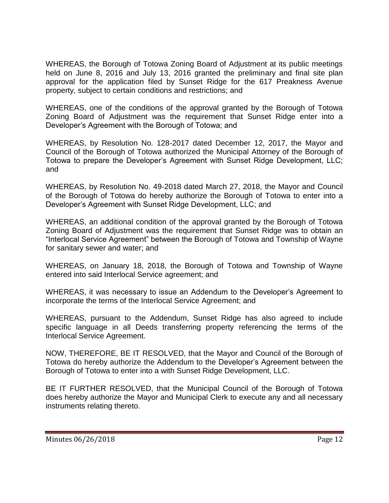WHEREAS, the Borough of Totowa Zoning Board of Adjustment at its public meetings held on June 8, 2016 and July 13, 2016 granted the preliminary and final site plan approval for the application filed by Sunset Ridge for the 617 Preakness Avenue property, subject to certain conditions and restrictions; and

WHEREAS, one of the conditions of the approval granted by the Borough of Totowa Zoning Board of Adjustment was the requirement that Sunset Ridge enter into a Developer's Agreement with the Borough of Totowa; and

WHEREAS, by Resolution No. 128-2017 dated December 12, 2017, the Mayor and Council of the Borough of Totowa authorized the Municipal Attorney of the Borough of Totowa to prepare the Developer's Agreement with Sunset Ridge Development, LLC; and

WHEREAS, by Resolution No. 49-2018 dated March 27, 2018, the Mayor and Council of the Borough of Totowa do hereby authorize the Borough of Totowa to enter into a Developer's Agreement with Sunset Ridge Development, LLC; and

WHEREAS, an additional condition of the approval granted by the Borough of Totowa Zoning Board of Adjustment was the requirement that Sunset Ridge was to obtain an "Interlocal Service Agreement" between the Borough of Totowa and Township of Wayne for sanitary sewer and water; and

WHEREAS, on January 18, 2018, the Borough of Totowa and Township of Wayne entered into said Interlocal Service agreement; and

WHEREAS, it was necessary to issue an Addendum to the Developer's Agreement to incorporate the terms of the Interlocal Service Agreement; and

WHEREAS, pursuant to the Addendum, Sunset Ridge has also agreed to include specific language in all Deeds transferring property referencing the terms of the Interlocal Service Agreement.

NOW, THEREFORE, BE IT RESOLVED, that the Mayor and Council of the Borough of Totowa do hereby authorize the Addendum to the Developer's Agreement between the Borough of Totowa to enter into a with Sunset Ridge Development, LLC.

BE IT FURTHER RESOLVED, that the Municipal Council of the Borough of Totowa does hereby authorize the Mayor and Municipal Clerk to execute any and all necessary instruments relating thereto.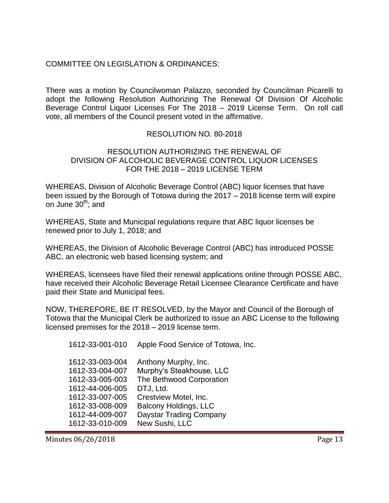# COMMITTEE ON LEGISLATION & ORDINANCES:

There was a motion by Councilwoman Palazzo, seconded by Councilman Picarelli to adopt the following Resolution Authorizing The Renewal Of Division Of Alcoholic Beverage Control Liquor Licenses For The 2018 – 2019 License Term. On roll call vote, all members of the Council present voted in the affirmative.

#### RESOLUTION NO. 80-2018

#### RESOLUTION AUTHORIZING THE RENEWAL OF DIVISION OF ALCOHOLIC BEVERAGE CONTROL LIQUOR LICENSES FOR THE 2018 – 2019 LICENSE TERM

WHEREAS, Division of Alcoholic Beverage Control (ABC) liquor licenses that have been issued by the Borough of Totowa during the 2017 – 2018 license term will expire on June  $30<sup>th</sup>$ ; and

WHEREAS, State and Municipal regulations require that ABC liquor licenses be renewed prior to July 1, 2018; and

WHEREAS, the Division of Alcoholic Beverage Control (ABC) has introduced POSSE ABC, an electronic web based licensing system; and

WHEREAS, licensees have filed their renewal applications online through POSSE ABC, have received their Alcoholic Beverage Retail Licensee Clearance Certificate and have paid their State and Municipal fees.

NOW, THEREFORE, BE IT RESOLVED, by the Mayor and Council of the Borough of Totowa that the Municipal Clerk be authorized to issue an ABC License to the following licensed premises for the 2018 – 2019 license term.

| 1612-33-001-010 | Apple Food Service of Totowa, Inc. |
|-----------------|------------------------------------|
| 1612-33-003-004 | Anthony Murphy, Inc.               |
| 1612-33-004-007 | Murphy's Steakhouse, LLC           |
| 1612-33-005-003 | The Bethwood Corporation           |
| 1612-44-006-005 | DTJ, Ltd.                          |
| 1612-33-007-005 | Crestview Motel, Inc.              |
| 1612-33-008-009 | <b>Balcony Holdings, LLC</b>       |
| 1612-44-009-007 | <b>Daystar Trading Company</b>     |
| 1612-33-010-009 | New Sushi, LLC                     |

Minutes 06/26/2018 **Page 13**